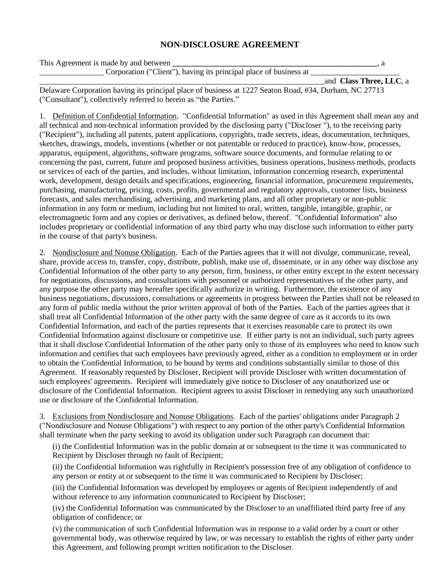## **NON-DISCLOSURE AGREEMENT**

| This Agreement is made by and between                             |                         |
|-------------------------------------------------------------------|-------------------------|
| Corporation ("Client"), having its principal place of business at |                         |
|                                                                   | and Class Three, LLC, a |

Delaware Corporation having its principal place of business at 1227 Seaton Road, #34, Durham, NC 27713 ("Consultant"), collectively referred to herein as "the Parties."

1. Definition of Confidential Information. "Confidential Information" as used in this Agreement shall mean any and all technical and non-technical information provided by the disclosing party ("Discloser "), to the receiving party ("Recipient"), including all patents, patent applications, copyrights, trade secrets, ideas, documentation, techniques, sketches, drawings, models, inventions (whether or not patentable or reduced to practice), know-how, processes, apparatus, equipment, algorithms, software programs, software source documents, and formulae relating to or concerning the past, current, future and proposed business activities, business operations, business methods, products or services of each of the parties, and includes, without limitation, information concerning research, experimental work, development, design details and specifications, engineering, financial information, procurement requirements, purchasing, manufacturing, pricing, costs, profits, governmental and regulatory approvals, customer lists, business forecasts, and sales merchandising, advertising, and marketing plans, and all other proprietary or non-public information in any form or medium, including but not limited to oral, written, tangible, intangible, graphic, or electromagnetic form and any copies or derivatives, as defined below, thereof. "Confidential Information" also includes proprietary or confidential information of any third party who may disclose such information to either party in the course of that party's business.

2. Nondisclosure and Nonuse Obligation. Each of the Parties agrees that it will not divulge, communicate, reveal, share, provide access to, transfer, copy, distribute, publish, make use of, disseminate, or in any other way disclose any Confidential Information of the other party to any person, firm, business, or other entity except to the extent necessary for negotiations, discussions, and consultations with personnel or authorized representatives of the other party, and any purpose the other party may hereafter specifically authorize in writing. Furthermore, the existence of any business negotiations, discussions, consultations or agreements in progress between the Parties shall not be released to any form of public media without the prior written approval of both of the Parties. Each of the parties agrees that it shall treat all Confidential Information of the other party with the same degree of care as it accords to its own Confidential Information, and each of the parties represents that it exercises reasonable care to protect its own Confidential Information against disclosure or competitive use. If either party is not an individual, such party agrees that it shall disclose Confidential Information of the other party only to those of its employees who need to know such information and certifies that such employees have previously agreed, either as a condition to employment or in order to obtain the Confidential Information, to be bound by terms and conditions substantially similar to those of this Agreement. If reasonably requested by Discloser, Recipient will provide Discloser with written documentation of such employees' agreements. Recipient will immediately give notice to Discloser of any unauthorized use or disclosure of the Confidential Information. Recipient agrees to assist Discloser in remedying any such unauthorized use or disclosure of the Confidential Information.

3. Exclusions from Nondisclosure and Nonuse Obligations. Each of the parties' obligations under Paragraph 2 ("Nondisclosure and Nonuse Obligations") with respect to any portion of the other party's Confidential Information shall terminate when the party seeking to avoid its obligation under such Paragraph can document that:

(i) the Confidential Information was in the public domain at or subsequent to the time it was communicated to Recipient by Discloser through no fault of Recipient;

(ii) the Confidential Information was rightfully in Recipient's possession free of any obligation of confidence to any person or entity at or subsequent to the time it was communicated to Recipient by Discloser;

(iii) the Confidential Information was developed by employees or agents of Recipient independently of and without reference to any information communicated to Recipient by Discloser;

(iv) the Confidential Information was communicated by the Discloser to an unaffiliated third party free of any obligation of confidence; or

(v) the communication of such Confidential Information was in response to a valid order by a court or other governmental body, was otherwise required by law, or was necessary to establish the rights of either party under this Agreement, and following prompt written notification to the Discloser.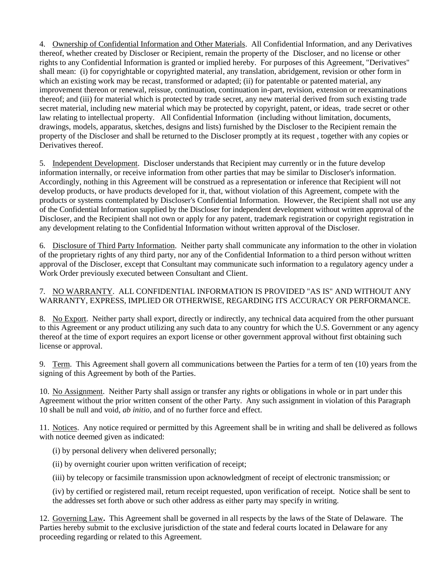4. Ownership of Confidential Information and Other Materials. All Confidential Information, and any Derivatives thereof, whether created by Discloser or Recipient, remain the property of the Discloser, and no license or other rights to any Confidential Information is granted or implied hereby. For purposes of this Agreement, "Derivatives" shall mean: (i) for copyrightable or copyrighted material, any translation, abridgement, revision or other form in which an existing work may be recast, transformed or adapted; (ii) for patentable or patented material, any improvement thereon or renewal, reissue, continuation, continuation in-part, revision, extension or reexaminations thereof; and (iii) for material which is protected by trade secret, any new material derived from such existing trade secret material, including new material which may be protected by copyright, patent, or ideas, trade secret or other law relating to intellectual property. All Confidential Information (including without limitation, documents, drawings, models, apparatus, sketches, designs and lists) furnished by the Discloser to the Recipient remain the property of the Discloser and shall be returned to the Discloser promptly at its request , together with any copies or Derivatives thereof.

5. Independent Development. Discloser understands that Recipient may currently or in the future develop information internally, or receive information from other parties that may be similar to Discloser's information. Accordingly, nothing in this Agreement will be construed as a representation or inference that Recipient will not develop products, or have products developed for it, that, without violation of this Agreement, compete with the products or systems contemplated by Discloser's Confidential Information. However, the Recipient shall not use any of the Confidential Information supplied by the Discloser for independent development without written approval of the Discloser, and the Recipient shall not own or apply for any patent, trademark registration or copyright registration in any development relating to the Confidential Information without written approval of the Discloser.

6. Disclosure of Third Party Information. Neither party shall communicate any information to the other in violation of the proprietary rights of any third party, nor any of the Confidential Information to a third person without written approval of the Discloser, except that Consultant may communicate such information to a regulatory agency under a Work Order previously executed between Consultant and Client.

## 7. NO WARRANTY. ALL CONFIDENTIAL INFORMATION IS PROVIDED "AS IS" AND WITHOUT ANY WARRANTY, EXPRESS, IMPLIED OR OTHERWISE, REGARDING ITS ACCURACY OR PERFORMANCE.

8. No Export. Neither party shall export, directly or indirectly, any technical data acquired from the other pursuant to this Agreement or any product utilizing any such data to any country for which the U.S. Government or any agency thereof at the time of export requires an export license or other government approval without first obtaining such license or approval.

9. Term. This Agreement shall govern all communications between the Parties for a term of ten (10) years from the signing of this Agreement by both of the Parties.

10. No Assignment. Neither Party shall assign or transfer any rights or obligations in whole or in part under this Agreement without the prior written consent of the other Party. Any such assignment in violation of this Paragraph 10 shall be null and void, *ab initio*, and of no further force and effect.

11. Notices. Any notice required or permitted by this Agreement shall be in writing and shall be delivered as follows with notice deemed given as indicated:

(i) by personal delivery when delivered personally;

(ii) by overnight courier upon written verification of receipt;

(iii) by telecopy or facsimile transmission upon acknowledgment of receipt of electronic transmission; or

(iv) by certified or registered mail, return receipt requested, upon verification of receipt. Notice shall be sent to the addresses set forth above or such other address as either party may specify in writing.

12. Governing Law**.** This Agreement shall be governed in all respects by the laws of the State of Delaware. The Parties hereby submit to the exclusive jurisdiction of the state and federal courts located in Delaware for any proceeding regarding or related to this Agreement.